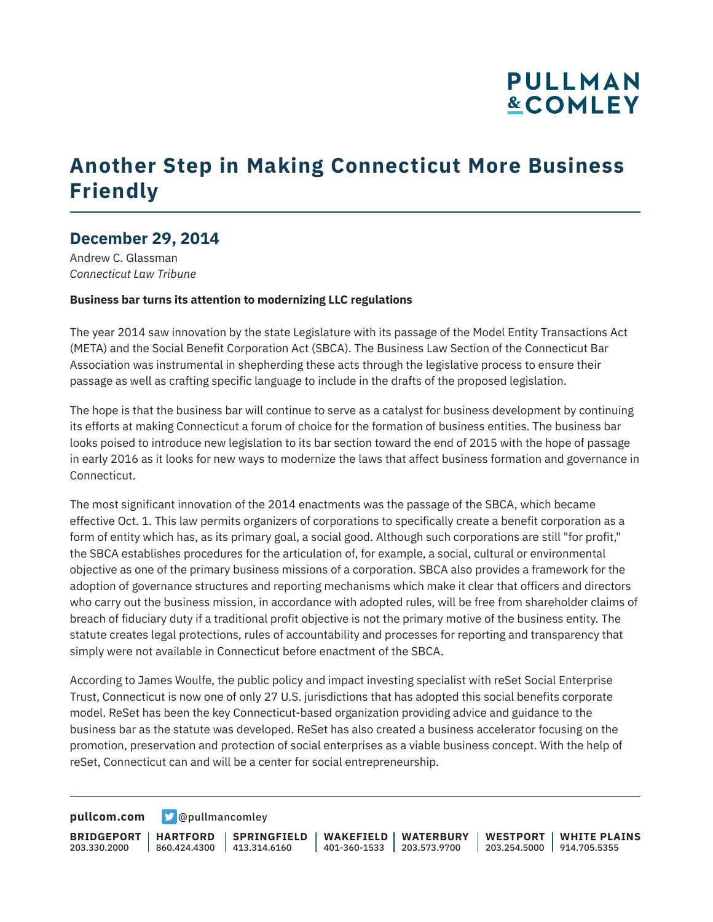## **PULLMAN &COMLEY**

## **Another Step in Making Connecticut More Business Friendly**

### **December 29, 2014**

Andrew C. Glassman *Connecticut Law Tribune*

#### **Business bar turns its attention to modernizing LLC regulations**

The year 2014 saw innovation by the state Legislature with its passage of the Model Entity Transactions Act (META) and the Social Benefit Corporation Act (SBCA). The Business Law Section of the Connecticut Bar Association was instrumental in shepherding these acts through the legislative process to ensure their passage as well as crafting specific language to include in the drafts of the proposed legislation.

The hope is that the business bar will continue to serve as a catalyst for business development by continuing its efforts at making Connecticut a forum of choice for the formation of business entities. The business bar looks poised to introduce new legislation to its bar section toward the end of 2015 with the hope of passage in early 2016 as it looks for new ways to modernize the laws that affect business formation and governance in Connecticut.

The most significant innovation of the 2014 enactments was the passage of the SBCA, which became effective Oct. 1. This law permits organizers of corporations to specifically create a benefit corporation as a form of entity which has, as its primary goal, a social good. Although such corporations are still "for profit," the SBCA establishes procedures for the articulation of, for example, a social, cultural or environmental objective as one of the primary business missions of a corporation. SBCA also provides a framework for the adoption of governance structures and reporting mechanisms which make it clear that officers and directors who carry out the business mission, in accordance with adopted rules, will be free from shareholder claims of breach of fiduciary duty if a traditional profit objective is not the primary motive of the business entity. The statute creates legal protections, rules of accountability and processes for reporting and transparency that simply were not available in Connecticut before enactment of the SBCA.

According to James Woulfe, the public policy and impact investing specialist with reSet Social Enterprise Trust, Connecticut is now one of only 27 U.S. jurisdictions that has adopted this social benefits corporate model. ReSet has been the key Connecticut-based organization providing advice and guidance to the business bar as the statute was developed. ReSet has also created a business accelerator focusing on the promotion, preservation and protection of social enterprises as a viable business concept. With the help of reSet, Connecticut can and will be a center for social entrepreneurship.

**[pullcom.com](https://www.pullcom.com) g** [@pullmancomley](https://twitter.com/PullmanComley)

**BRIDGEPORT HARTFORD** 203.330.2000

860.424.4300 413.314.6160 **SPRINGFIELD**

**WAKEFIELD WATERBURY** 401-360-1533 203.573.9700

**WESTPORT WHITE PLAINS** 203.254.5000 914.705.5355